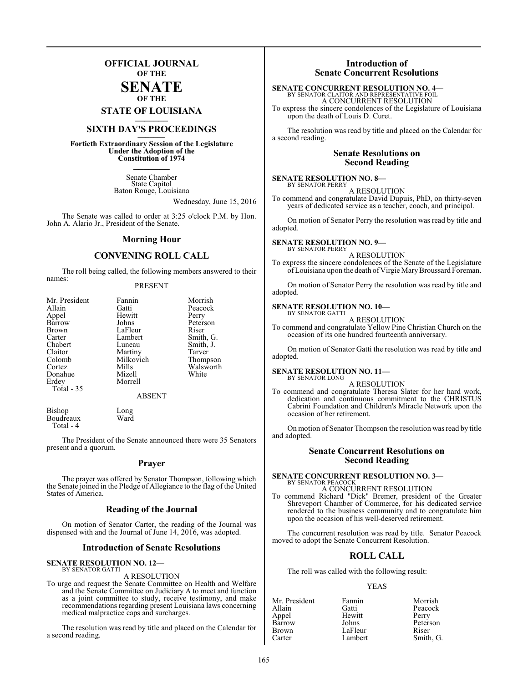### **OFFICIAL JOURNAL OF THE**

### **SENATE OF THE**

**STATE OF LOUISIANA \_\_\_\_\_\_\_**

### **SIXTH DAY'S PROCEEDINGS \_\_\_\_\_\_\_**

**Fortieth Extraordinary Session of the Legislature Under the Adoption of the Constitution of 1974 \_\_\_\_\_\_\_**

> Senate Chamber State Capitol Baton Rouge, Louisiana

> > Wednesday, June 15, 2016

The Senate was called to order at 3:25 o'clock P.M. by Hon. John A. Alario Jr., President of the Senate.

### **Morning Hour**

### **CONVENING ROLL CALL**

The roll being called, the following members answered to their names:

### PRESENT

| Mr. President | Fannin        | Morrish   |
|---------------|---------------|-----------|
| Allain        | Gatti         | Peacock   |
| Appel         | Hewitt        | Perry     |
| Barrow        | Johns         | Peterson  |
| <b>Brown</b>  | LaFleur       | Riser     |
| Carter        | Lambert       | Smith, G. |
| Chabert       | Luneau        | Smith, J. |
| Claitor       | Martiny       | Tarver    |
| Colomb        | Milkovich     | Thompson  |
| Cortez        | Mills         | Walsworth |
| Donahue       | Mizell        | White     |
| Erdey         | Morrell       |           |
| Total - 35    |               |           |
|               | <b>ABSENT</b> |           |

Bishop Long<br>Boudreaux Ward **Boudreaux** Total - 4

The President of the Senate announced there were 35 Senators present and a quorum.

### **Prayer**

The prayer was offered by Senator Thompson, following which the Senate joined in the Pledge of Allegiance to the flag of the United States of America.

### **Reading of the Journal**

On motion of Senator Carter, the reading of the Journal was dispensed with and the Journal of June 14, 2016, was adopted.

### **Introduction of Senate Resolutions**

#### **SENATE RESOLUTION NO. 12—** BY SENATOR GATTI

A RESOLUTION

To urge and request the Senate Committee on Health and Welfare and the Senate Committee on Judiciary A to meet and function as a joint committee to study, receive testimony, and make recommendations regarding present Louisiana laws concerning medical malpractice caps and surcharges.

The resolution was read by title and placed on the Calendar for a second reading.

### **Introduction of Senate Concurrent Resolutions**

### **SENATE CONCURRENT RESOLUTION NO. 4—**

BY SENATOR CLAITOR AND REPRESENTATIVE FOIL A CONCURRENT RESOLUTION

To express the sincere condolences of the Legislature of Louisiana upon the death of Louis D. Curet.

The resolution was read by title and placed on the Calendar for a second reading.

### **Senate Resolutions on Second Reading**

### **SENATE RESOLUTION NO. 8—**

BY SENATOR PERRY A RESOLUTION

To commend and congratulate David Dupuis, PhD, on thirty-seven years of dedicated service as a teacher, coach, and principal.

On motion of Senator Perry the resolution was read by title and adopted.

#### **SENATE RESOLUTION NO. 9—** BY SENATOR PERRY

A RESOLUTION

To express the sincere condolences of the Senate of the Legislature ofLouisiana upon the death of Virgie MaryBroussard Foreman.

On motion of Senator Perry the resolution was read by title and adopted.

#### **SENATE RESOLUTION NO. 10—** BY SENATOR GATTI

A RESOLUTION

To commend and congratulate Yellow Pine Christian Church on the occasion of its one hundred fourteenth anniversary.

On motion of Senator Gatti the resolution was read by title and adopted.

### **SENATE RESOLUTION NO. 11—**

BY SENATOR LONG

A RESOLUTION To commend and congratulate Theresa Slater for her hard work, dedication and continuous commitment to the CHRISTUS Cabrini Foundation and Children's Miracle Network upon the occasion of her retirement.

On motion of Senator Thompson the resolution was read by title and adopted.

### **Senate Concurrent Resolutions on Second Reading**

#### **SENATE CONCURRENT RESOLUTION NO. 3—** BY SENATOR PEACOCK A CONCURRENT RESOLUTION

To commend Richard "Dick" Bremer, president of the Greater Shreveport Chamber of Commerce, for his dedicated service rendered to the business community and to congratulate him upon the occasion of his well-deserved retirement.

The concurrent resolution was read by title. Senator Peacock moved to adopt the Senate Concurrent Resolution.

### **ROLL CALL**

The roll was called with the following result:

### YEAS

| Mr. President | Fannin  | Morrish   |
|---------------|---------|-----------|
| Allain        | Gatti   | Peacock   |
| Appel         | Hewitt  | Perry     |
| Barrow        | Johns   | Peterson  |
| <b>Brown</b>  | LaFleur | Riser     |
| Carter        | Lambert | Smith, G. |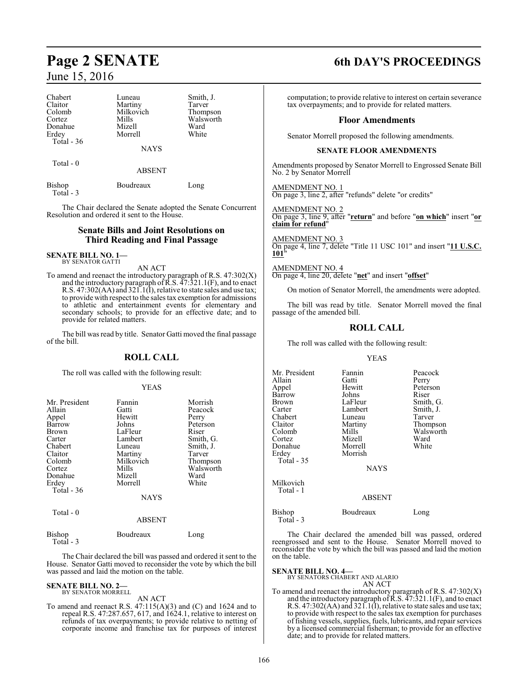| Chabert       | Luneau        | Smith, J. |
|---------------|---------------|-----------|
| Claitor       | Martiny       | Tarver    |
| Colomb        | Milkovich     | Thompson  |
| Cortez        | Mills         | Walsworth |
| Donahue       | Mizell        | Ward      |
| Erdey         | Morrell       | White     |
| Total - 36    | <b>NAYS</b>   |           |
| Total - 0     | <b>ABSENT</b> |           |
| $- \cdot$ $-$ |               |           |

Total - 3

Bishop Boudreaux Long

The Chair declared the Senate adopted the Senate Concurrent Resolution and ordered it sent to the House.

### **Senate Bills and Joint Resolutions on Third Reading and Final Passage**

**SENATE BILL NO. 1—** BY SENATOR GATTI

AN ACT

To amend and reenact the introductory paragraph of R.S. 47:302(X) and the introductory paragraph of  $\bar{R}$ .S.  $\bar{4}7$ :321.1(F), and to enact R.S. 47:302(AA) and 321.1(I), relative to state sales and use tax; to provide with respect to the sales tax exemption for admissions to athletic and entertainment events for elementary and secondary schools; to provide for an effective date; and to provide for related matters.

The bill was read by title. Senator Gatti moved the final passage of the bill.

### **ROLL CALL**

The roll was called with the following result:

### YEAS

| Mr. President<br>Allain<br>Appel<br>Barrow<br><b>Brown</b><br>Carter<br>Chabert<br>Claitor<br>Colomb<br>Cortez<br>Donahue<br>Erdey | Fannin<br>Gatti<br>Hewitt<br>Johns<br>LaFleur<br>Lambert<br>Luneau<br>Martiny<br>Milkovich<br>Mills<br>Mizell<br>Morrell | Morrish<br>Peacock<br>Perry<br>Peterson<br>Riser<br>Smith, G.<br>Smith, J.<br>Tarver<br>Thompson<br>Walsworth<br>Ward<br>White |
|------------------------------------------------------------------------------------------------------------------------------------|--------------------------------------------------------------------------------------------------------------------------|--------------------------------------------------------------------------------------------------------------------------------|
| Total $-36$<br>Total $-0$                                                                                                          | <b>NAYS</b><br><b>ABSENT</b>                                                                                             |                                                                                                                                |
| Bishop                                                                                                                             | Boudreaux                                                                                                                | Long                                                                                                                           |

Total - 3

The Chair declared the bill was passed and ordered it sent to the House. Senator Gatti moved to reconsider the vote by which the bill was passed and laid the motion on the table.

### **SENATE BILL NO. 2—** BY SENATOR MORRELL

#### AN ACT

To amend and reenact R.S. 47:115(A)(3) and (C) and 1624 and to repeal R.S. 47:287.657, 617, and 1624.1, relative to interest on refunds of tax overpayments; to provide relative to netting of corporate income and franchise tax for purposes of interest

## **Page 2 SENATE 6th DAY'S PROCEEDINGS**

computation; to provide relative to interest on certain severance tax overpayments; and to provide for related matters.

### **Floor Amendments**

Senator Morrell proposed the following amendments.

### **SENATE FLOOR AMENDMENTS**

Amendments proposed by Senator Morrell to Engrossed Senate Bill No. 2 by Senator Morrell

AMENDMENT NO. 1 On page 3, line 2, after "refunds" delete "or credits"

AMENDMENT NO. 2 On page 3, line 9, after "**return**" and before "**on which**" insert "**or claim for refund**"

AMENDMENT NO. 3 On page 4, line 7, delete "Title 11 USC 101" and insert "**11 U.S.C. 101**"

AMENDMENT NO. 4 On page 4, line 20, delete "**net**" and insert "**offset**"

On motion of Senator Morrell, the amendments were adopted.

The bill was read by title. Senator Morrell moved the final passage of the amended bill.

### **ROLL CALL**

The roll was called with the following result:

### YEAS

| Mr. President<br>Allain<br>Appel<br>Barrow<br>Brown<br>Carter<br>Chabert<br>Claitor<br>Colomb<br>Cortez<br>Donahue<br>Erdey<br>Total - 35 | Fannin<br>Gatti<br>Hewitt<br>Johns<br>LaFleur<br>Lambert<br>Luneau<br>Martiny<br>Mills<br>Mizell<br>Morrell<br>Morrish<br><b>NAYS</b> | Peacock<br>Perry<br>Peterson<br>Riser<br>Smith, G.<br>Smith, J.<br>Tarver<br>Thompson<br>Walsworth<br>Ward<br>White |
|-------------------------------------------------------------------------------------------------------------------------------------------|---------------------------------------------------------------------------------------------------------------------------------------|---------------------------------------------------------------------------------------------------------------------|
| Milkovich<br>Total - 1                                                                                                                    | <b>ABSENT</b>                                                                                                                         |                                                                                                                     |
| Bishop<br>Total - 3                                                                                                                       | Boudreaux                                                                                                                             | Long                                                                                                                |

The Chair declared the amended bill was passed, ordered reengrossed and sent to the House. Senator Morrell moved to reconsider the vote by which the bill was passed and laid the motion on the table.

### **SENATE BILL NO. 4—**

BY SENATORS CHABERT AND ALARIO AN ACT

To amend and reenact the introductory paragraph of R.S. 47:302(X) and the introductory paragraph of  $\overline{R}$ .S.  $\overline{4}$ 7:321.1(F), and to enact R.S. 47:302(AA) and 321.1(I), relative to state sales and use tax; to provide with respect to the sales tax exemption for purchases of fishing vessels, supplies, fuels, lubricants, and repair services by a licensed commercial fisherman; to provide for an effective date; and to provide for related matters.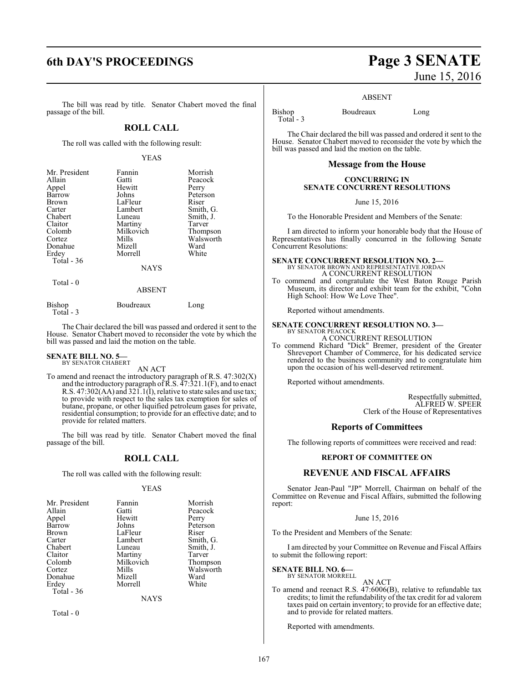### **6th DAY'S PROCEEDINGS Page 3 SENATE**

The bill was read by title. Senator Chabert moved the final passage of the bill.

### **ROLL CALL**

The roll was called with the following result:

### YEAS

| Mr. President<br>Allain<br>Appel<br>Barrow<br><b>Brown</b><br>Carter<br>Chabert<br>Claitor | Fannin<br>Gatti<br>Hewitt<br>Johns<br>LaFleur<br>Lambert<br>Luneau | Morrish<br>Peacock<br>Perry<br>Peterson<br>Riser<br>Smith, G.<br>Smith, J.<br>Tarver |
|--------------------------------------------------------------------------------------------|--------------------------------------------------------------------|--------------------------------------------------------------------------------------|
| Colomb                                                                                     | Martiny<br>Milkovich                                               | Thompson                                                                             |
| Cortez<br>Donahue                                                                          | Mills<br>Mizell                                                    | Walsworth<br>Ward                                                                    |
| Erdey<br>Total - 36                                                                        | Morrell                                                            | White                                                                                |
|                                                                                            | <b>NAYS</b>                                                        |                                                                                      |
| Total - 0                                                                                  |                                                                    |                                                                                      |

#### ABSENT

| Bishop<br>Total - 3 | Boudreaux | Long |
|---------------------|-----------|------|
|                     |           |      |

The Chair declared the bill was passed and ordered it sent to the House. Senator Chabert moved to reconsider the vote by which the bill was passed and laid the motion on the table.

### **SENATE BILL NO. 5—** BY SENATOR CHABERT

AN ACT

To amend and reenact the introductory paragraph of R.S. 47:302(X) and the introductory paragraph of  $\bar{R}$ .S.  $\bar{4}7$ :321.1(F), and to enact R.S. 47:302(AA) and 321.1(I), relative to state sales and use tax; to provide with respect to the sales tax exemption for sales of butane, propane, or other liquified petroleum gases for private, residential consumption; to provide for an effective date; and to provide for related matters.

The bill was read by title. Senator Chabert moved the final passage of the bill.

### **ROLL CALL**

The roll was called with the following result:

### YEAS

| Mr. President | Fannin      | Morrish   |
|---------------|-------------|-----------|
| Allain        | Gatti       | Peacock   |
| Appel         | Hewitt      | Perry     |
| <b>Barrow</b> | Johns       | Peterson  |
| Brown         | LaFleur     | Riser     |
| Carter        | Lambert     | Smith, G. |
| Chabert       | Luneau      | Smith, J. |
| Claitor       | Martiny     | Tarver    |
| Colomb        | Milkovich   | Thompson  |
| Cortez        | Mills       | Walsworth |
| Donahue       | Mizell      | Ward      |
| Erdey         | Morrell     | White     |
| Total - 36    |             |           |
|               | <b>NAYS</b> |           |

Total - 0

# June 15, 2016

#### ABSENT

Bishop Boudreaux Long Total - 3

The Chair declared the bill was passed and ordered it sent to the House. Senator Chabert moved to reconsider the vote by which the bill was passed and laid the motion on the table.

### **Message from the House**

### **CONCURRING IN SENATE CONCURRENT RESOLUTIONS**

June 15, 2016

To the Honorable President and Members of the Senate:

I am directed to inform your honorable body that the House of Representatives has finally concurred in the following Senate Concurrent Resolutions:

### **SENATE CONCURRENT RESOLUTION NO. 2—** BY SENATOR BROWN AND REPRESENTATIVE JORDAN A CONCURRENT RESOLUTION

To commend and congratulate the West Baton Rouge Parish Museum, its director and exhibit team for the exhibit, "Cohn High School: How We Love Thee".

Reported without amendments.

### **SENATE CONCURRENT RESOLUTION NO. 3—** BY SENATOR PEACOCK A CONCURRENT RESOLUTION

To commend Richard "Dick" Bremer, president of the Greater Shreveport Chamber of Commerce, for his dedicated service rendered to the business community and to congratulate him upon the occasion of his well-deserved retirement.

Reported without amendments.

Respectfully submitted, ALFRED W. SPEER Clerk of the House of Representatives

### **Reports of Committees**

The following reports of committees were received and read:

### **REPORT OF COMMITTEE ON**

### **REVENUE AND FISCAL AFFAIRS**

Senator Jean-Paul "JP" Morrell, Chairman on behalf of the Committee on Revenue and Fiscal Affairs, submitted the following report:

### June 15, 2016

To the President and Members of the Senate:

I am directed by your Committee on Revenue and Fiscal Affairs to submit the following report:

**SENATE BILL NO. 6—** BY SENATOR MORRELL

AN ACT

To amend and reenact R.S. 47:6006(B), relative to refundable tax credits; to limit the refundability of the tax credit for ad valorem taxes paid on certain inventory; to provide for an effective date; and to provide for related matters.

Reported with amendments.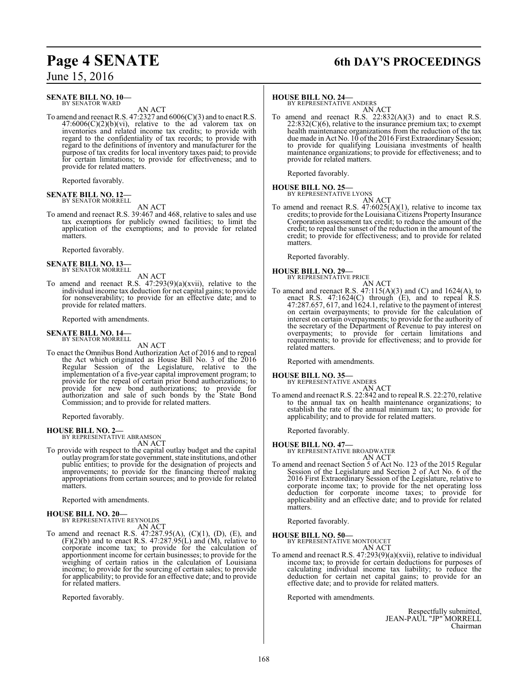### **SENATE BILL NO. 10–**<br>BY SENATOR WARD

AN ACT

To amend and reenact R.S. 47:2327 and 6006(C)(3) and to enact R.S.  $47:6006(C)(2)(b)(vi)$ , relative to the ad valorem tax on inventories and related income tax credits; to provide with regard to the confidentiality of tax records; to provide with regard to the definitions of inventory and manufacturer for the purpose of tax credits for local inventory taxes paid; to provide for certain limitations; to provide for effectiveness; and to provide for related matters.

Reported favorably.

### **SENATE BILL NO. 12—** BY SENATOR MORRELL

AN ACT

To amend and reenact R.S. 39:467 and 468, relative to sales and use tax exemptions for publicly owned facilities; to limit the application of the exemptions; and to provide for related matters.

Reported favorably.

### **SENATE BILL NO. 13-**<br>BY SENATOR MORRELL

AN ACT

To amend and reenact R.S. 47:293(9)(a)(xvii), relative to the individual income tax deduction for net capital gains; to provide for nonseverability; to provide for an effective date; and to provide for related matters.

Reported with amendments.

### **SENATE BILL NO. 14—** BY SENATOR MORRELL

AN ACT

To enact the Omnibus Bond Authorization Act of 2016 and to repeal the Act which originated as House Bill No. 3 of the 2016 Regular Session of the Legislature, relative to the implementation of a five-year capital improvement program; to provide for the repeal of certain prior bond authorizations; to provide for new bond authorizations; to provide for authorization and sale of such bonds by the State Bond Commission; and to provide for related matters.

Reported favorably.

**HOUSE BILL NO. 2—**<br>BY REPRESENTATIVE ABRAMSON AN ACT

To provide with respect to the capital outlay budget and the capital outlay programfor state government, state institutions, and other public entities; to provide for the designation of projects and improvements; to provide for the financing thereof making appropriations from certain sources; and to provide for related matters.

Reported with amendments.

# **HOUSE BILL NO. 20-**<br>BY REPRESENTATIVE REYNOLDS

AN ACT

To amend and reenact R.S. 47:287.95(A), (C)(1), (D), (E), and  $(F)(2)(b)$  and to enact R.S. 47:287.95(L) and  $(M)$ , relative to corporate income tax; to provide for the calculation of apportionment income for certain businesses; to provide for the weighing of certain ratios in the calculation of Louisiana income; to provide for the sourcing of certain sales; to provide for applicability; to provide for an effective date; and to provide for related matters.

Reported favorably.

## **Page 4 SENATE 6th DAY'S PROCEEDINGS**

### **HOUSE BILL NO. 24—**<br>BY REPRESENTATIVE ANDERS

AN ACT

To amend and reenact R.S.  $22:832(A)(3)$  and to enact R.S. 22:832(C)(6), relative to the insurance premium tax; to exempt health maintenance organizations from the reduction of the tax due made in Act No. 10 of the 2016 First Extraordinary Session; to provide for qualifying Louisiana investments of health maintenance organizations; to provide for effectiveness; and to provide for related matters.

Reported favorably.

**HOUSE BILL NO. 25—**<br>BY REPRESENTATIVE LYONS

AN ACT

To amend and reenact R.S.  $47:6025(A)(1)$ , relative to income tax credits; to provide for the Louisiana Citizens Property Insurance Corporation assessment tax credit; to reduce the amount of the credit; to repeal the sunset of the reduction in the amount of the credit; to provide for effectiveness; and to provide for related matters.

Reported favorably.

### **HOUSE BILL NO. 29––**<br>BY REPRESENTATIVE PRICE

AN ACT To amend and reenact R.S.  $47:115(A)(3)$  and  $(C)$  and  $1624(A)$ , to enact R.S. 47:1624(C) through (E), and to repeal R.S. 47:287.657, 617, and 1624.1, relative to the payment of interest on certain overpayments; to provide for the calculation of interest on certain overpayments; to provide for the authority of the secretary of the Department of Revenue to pay interest on overpayments; to provide for certain limitations and requirements; to provide for effectiveness; and to provide for related matters.

Reported with amendments.

### **HOUSE BILL NO. 35—**<br>BY REPRESENTATIVE ANDERS

AN ACT To amend and reenact R.S. 22:842 and to repeal R.S. 22:270, relative to the annual tax on health maintenance organizations; to establish the rate of the annual minimum tax; to provide for applicability; and to provide for related matters.

Reported favorably.

**HOUSE BILL NO. 47—** BY REPRESENTATIVE BROADWATER

AN ACT

To amend and reenact Section 5 of Act No. 123 of the 2015 Regular Session of the Legislature and Section 2 of Act No. 6 of the 2016 First Extraordinary Session of the Legislature, relative to corporate income tax; to provide for the net operating loss deduction for corporate income taxes; to provide for applicability and an effective date; and to provide for related matters.

Reported favorably.

**HOUSE BILL NO. 50-**

AN ACT

To amend and reenact R.S. 47:293(9)(a)(xvii), relative to individual income tax; to provide for certain deductions for purposes of calculating individual income tax liability; to reduce the deduction for certain net capital gains; to provide for an effective date; and to provide for related matters.

Reported with amendments.

Respectfully submitted, JEAN-PAUL "JP" MORRELL Chairman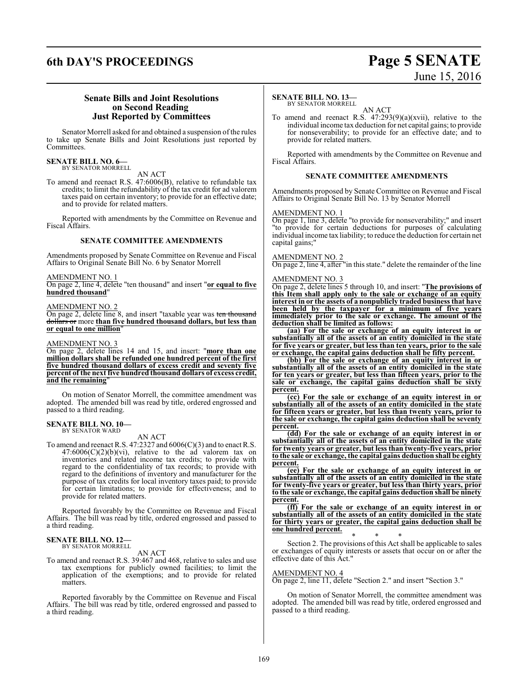### **6th DAY'S PROCEEDINGS Page 5 SENATE**

# June 15, 2016

### **Senate Bills and Joint Resolutions on Second Reading Just Reported by Committees**

Senator Morrell asked for and obtained a suspension of the rules to take up Senate Bills and Joint Resolutions just reported by Committees.

#### **SENATE BILL NO. 6—** BY SENATOR MORRELL

AN ACT

To amend and reenact R.S. 47:6006(B), relative to refundable tax credits; to limit the refundability of the tax credit for ad valorem taxes paid on certain inventory; to provide for an effective date; and to provide for related matters.

Reported with amendments by the Committee on Revenue and Fiscal Affairs.

### **SENATE COMMITTEE AMENDMENTS**

Amendments proposed by Senate Committee on Revenue and Fiscal Affairs to Original Senate Bill No. 6 by Senator Morrell

#### AMENDMENT NO. 1

On page 2, line 4, delete "ten thousand" and insert "**or equal to five hundred thousand**"

#### AMENDMENT NO. 2

On page 2, delete line 8, and insert "taxable year was ten thousand dollars or more **than five hundred thousand dollars, but less than or equal to one million**"

#### AMENDMENT NO. 3

On page 2, delete lines 14 and 15, and insert: "**more than one million dollars shall be refunded one hundred percent of the first five hundred thousand dollars of excess credit and seventy five percent of the next five hundred thousand dollars of excess credit, and the remaining**"

On motion of Senator Morrell, the committee amendment was adopted. The amended bill was read by title, ordered engrossed and passed to a third reading.

### **SENATE BILL NO. 10—** BY SENATOR WARD

### AN ACT

To amend and reenact R.S. 47:2327 and 6006(C)(3) and to enact R.S.  $47:6006(C)(2)(b)(vi)$ , relative to the ad valorem tax on inventories and related income tax credits; to provide with regard to the confidentiality of tax records; to provide with regard to the definitions of inventory and manufacturer for the purpose of tax credits for local inventory taxes paid; to provide for certain limitations; to provide for effectiveness; and to provide for related matters.

Reported favorably by the Committee on Revenue and Fiscal Affairs. The bill was read by title, ordered engrossed and passed to a third reading.

# **SENATE BILL NO. 12—** BY SENATOR MORRELL

AN ACT

To amend and reenact R.S. 39:467 and 468, relative to sales and use tax exemptions for publicly owned facilities; to limit the application of the exemptions; and to provide for related matters.

Reported favorably by the Committee on Revenue and Fiscal Affairs. The bill was read by title, ordered engrossed and passed to a third reading.

### **SENATE BILL NO. 13—**

BY SENATOR MORRELL

AN ACT To amend and reenact R.S. 47:293(9)(a)(xvii), relative to the individual income tax deduction for net capital gains; to provide for nonseverability; to provide for an effective date; and to provide for related matters.

Reported with amendments by the Committee on Revenue and Fiscal Affairs.

### **SENATE COMMITTEE AMENDMENTS**

Amendments proposed by Senate Committee on Revenue and Fiscal Affairs to Original Senate Bill No. 13 by Senator Morrell

### AMENDMENT NO. 1

On page 1, line 3, delete "to provide for nonseverability;" and insert "to provide for certain deductions for purposes of calculating individual income tax liability; to reduce the deduction for certain net capital gains;"

### AMENDMENT NO. 2

On page 2, line 4, after "in this state." delete the remainder of the line

### AMENDMENT NO. 3

On page 2, delete lines 5 through 10, and insert: "**The provisions of this Item shall apply only to the sale or exchange of an equity interest in or the assets of a nonpublicly traded business that have been held by the taxpayer for a minimum of five years immediately prior to the sale or exchange. The amount of the deduction shall be limited as follows:**

**(aa) For the sale or exchange of an equity interest in or substantially all of the assets of an entity domiciled in the state for five years or greater, but less than ten years, prior to the sale or exchange, the capital gains deduction shall be fifty percent.**

**(bb) For the sale or exchange of an equity interest in or substantially all of the assets of an entity domiciled in the state for ten years or greater, but less than fifteen years, prior to the sale or exchange, the capital gains deduction shall be sixty percent.**

**(cc) For the sale or exchange of an equity interest in or substantially all of the assets of an entity domiciled in the state for fifteen years or greater, but less than twenty years, prior to the sale or exchange, the capital gains deduction shall be seventy percent.**

**(dd) For the sale or exchange of an equity interest in or substantially all of the assets of an entity domiciled in the state for twenty years or greater, but less than twenty-five years, prior to the sale or exchange, the capital gains deduction shall be eighty percent.**

**(ee) For the sale or exchange of an equity interest in or substantially all of the assets of an entity domiciled in the state for twenty-five years or greater, but less than thirty years, prior to the sale or exchange, the capital gains deduction shall be ninety percent.**

**(ff) For the sale or exchange of an equity interest in or substantially all of the assets of an entity domiciled in the state for thirty years or greater, the capital gains deduction shall be one hundred percent.**

\* \* \* Section 2. The provisions of this Act shall be applicable to sales or exchanges of equity interests or assets that occur on or after the effective date of this Act."

### AMENDMENT NO. 4

On page 2, line 11, delete "Section 2." and insert "Section 3."

On motion of Senator Morrell, the committee amendment was adopted. The amended bill was read by title, ordered engrossed and passed to a third reading.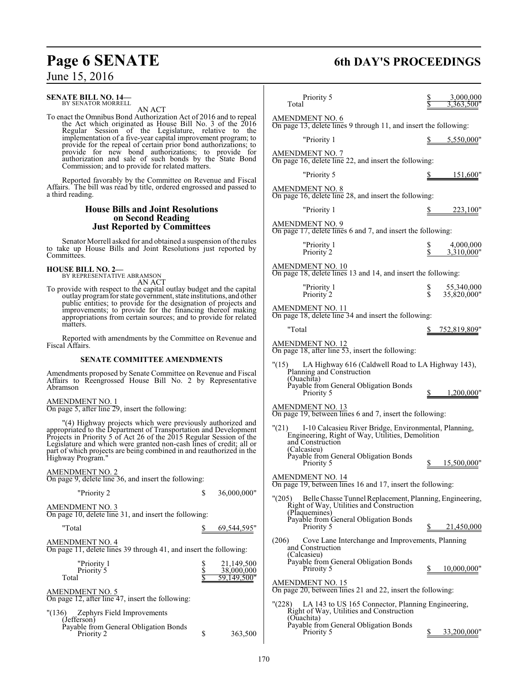## **SENATE BILL NO. 14—** BY SENATOR MORRELL

AN ACT

To enact the Omnibus Bond Authorization Act of 2016 and to repeal the Act which originated as House Bill No. 3 of the 2016 Regular Session of the Legislature, relative to the implementation of a five-year capital improvement program; to provide for the repeal of certain prior bond authorizations; to provide for new bond authorizations; to provide for authorization and sale of such bonds by the State Bond Commission; and to provide for related matters.

Reported favorably by the Committee on Revenue and Fiscal Affairs. The bill was read by title, ordered engrossed and passed to a third reading.

### **House Bills and Joint Resolutions on Second Reading Just Reported by Committees**

Senator Morrell asked for and obtained a suspension of the rules to take up House Bills and Joint Resolutions just reported by Committees.

# **HOUSE BILL NO. 2—** BY REPRESENTATIVE ABRAMSON

AN ACT

To provide with respect to the capital outlay budget and the capital outlay programfor state government, state institutions, and other public entities; to provide for the designation of projects and improvements; to provide for the financing thereof making appropriations from certain sources; and to provide for related matters.

Reported with amendments by the Committee on Revenue and Fiscal Affairs.

### **SENATE COMMITTEE AMENDMENTS**

Amendments proposed by Senate Committee on Revenue and Fiscal Affairs to Reengrossed House Bill No. 2 by Representative Abramson

AMENDMENT NO. 1

On page 5, after line 29, insert the following:

"(4) Highway projects which were previously authorized and appropriated to the Department of Transportation and Development Projects in Priority 5 of Act 26 of the 2015 Regular Session of the Legislature and which were granted non-cash lines of credit; all or part of which projects are being combined in and reauthorized in the Highway Program."

AMENDMENT NO. 2

| AMENDMENT NO. 2<br>On page 9, delete line 36, and insert the following:                                    |   |                                       |
|------------------------------------------------------------------------------------------------------------|---|---------------------------------------|
| "Priority 2                                                                                                | S | 36,000,000"                           |
| <b>AMENDMENT NO. 3</b><br>On page 10, delete line 31, and insert the following:                            |   |                                       |
| "Total                                                                                                     |   | 69,544,595                            |
| <b>AMENDMENT NO. 4</b><br>On page 11, delete lines 39 through 41, and insert the following:                |   |                                       |
| "Priority 1<br>Priority 5<br>Total                                                                         |   | 21,149,500<br>38,000,000<br>59.149.50 |
| <b>AMENDMENT NO. 5</b><br>On page 12, after line 47, insert the following:                                 |   |                                       |
| Zephyrs Field Improvements<br>"(136)<br>(Jefferson)<br>Payable from General Obligation Bonds<br>Priority 2 | S | 363,500                               |

## **Page 6 SENATE 6th DAY'S PROCEEDINGS**

| Priority 5<br>Total                                                                                                                                   |          | $\frac{3,000,000}{3,363,500}$ |
|-------------------------------------------------------------------------------------------------------------------------------------------------------|----------|-------------------------------|
| AMENDMENT NO. 6<br>On page 13, delete lines 9 through 11, and insert the following:                                                                   |          |                               |
| "Priority 1                                                                                                                                           |          | \$5,550,000"                  |
| AMENDMENT NO. 7<br>On page 16, delete line 22, and insert the following:                                                                              |          |                               |
| "Priority 5                                                                                                                                           |          | \$151,600"                    |
| AMENDMENT NO. 8<br>On page 16, delete line 28, and insert the following:                                                                              |          |                               |
| "Priority 1                                                                                                                                           |          | 223,100"                      |
| AMENDMENT NO. 9<br>On page 17, delete lines 6 and 7, and insert the following:                                                                        |          |                               |
| "Priority 1<br>Priority 2                                                                                                                             | \$<br>\$ | 4,000,000<br>3,310,000"       |
| AMENDMENT NO. 10<br>On page 18, delete lines 13 and 14, and insert the following:                                                                     |          |                               |
| "Priority 1<br>Priority 2                                                                                                                             | s<br>S   | 55,340,000<br>35,820,000"     |
| AMENDMENT NO. $11$<br>On page 18, delete line 34 and insert the following:                                                                            |          |                               |
| "Total                                                                                                                                                |          | \$ 752,819,809"               |
| <u>AMENDMENT NO. 12</u><br>On page 18, after line 53, insert the following:                                                                           |          |                               |
| LA Highway 616 (Caldwell Road to LA Highway 143),<br>" $(15)$<br>Planning and Construction<br>(Ouachita)                                              |          |                               |
| Payable from General Obligation Bonds<br>Priority 5                                                                                                   |          | \$1,200,000"                  |
| AMENDMENT NO. 13<br>On page 19, between lines 6 and 7, insert the following:                                                                          |          |                               |
| I-10 Calcasieu River Bridge, Environmental, Planning,<br>"(21)<br>Engineering, Right of Way, Utilities, Demolition<br>and Construction<br>(Calcasieu) |          |                               |
| Payable from General Obligation Bonds<br>Priority 5                                                                                                   | S        | 15,500,000"                   |
| AMENDMENT NO. 14<br>On page 19, between lines 16 and 17, insert the following:                                                                        |          |                               |
| "(205) Belle Chasse Tunnel Replacement, Planning, Engineering,<br>Right of Way, Utilities and Construction<br>(Plaquemines)                           |          |                               |
| Payable from General Obligation Bonds<br>Priority 5                                                                                                   |          | 21,450,000                    |
| Cove Lane Interchange and Improvements, Planning<br>(206)<br>and Construction<br>(Calcasieu)                                                          |          |                               |
| Payable from General Obligation Bonds<br>Priroity 5                                                                                                   | S.       | 10,000,000"                   |
| AMENDMENT NO. 15<br>On page 20, between lines 21 and 22, insert the following:                                                                        |          |                               |
| "(228) LA 143 to US 165 Connector, Planning Engineering,<br>Right of Way, Utilities and Construction<br>(Ouachita)                                    |          |                               |
| Payable from General Obligation Bonds<br>Priority 5                                                                                                   | S        | 33.200.000"                   |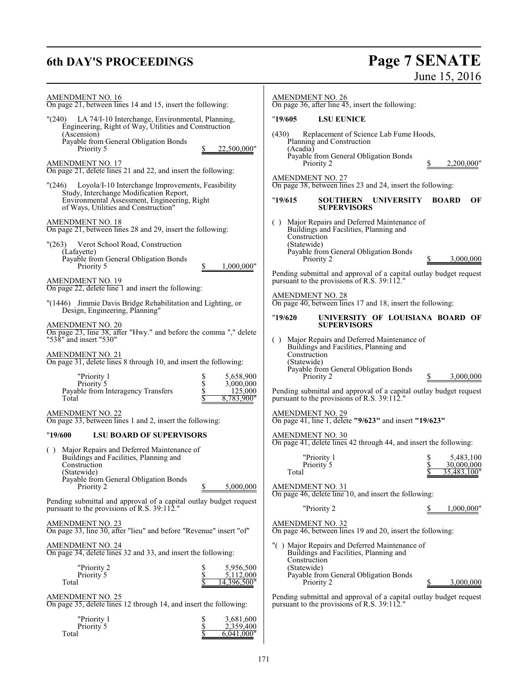# **6th DAY'S PROCEEDINGS Page 7 SENATE** June 15, 2016

| <b>AMENDMENT NO. 16</b>                                                                                          | <b>AMENDMENT NO. 26</b>                                                                                          |
|------------------------------------------------------------------------------------------------------------------|------------------------------------------------------------------------------------------------------------------|
| On page 21, between lines 14 and 15, insert the following:                                                       | On page 36, after line $45$ , insert the following:                                                              |
| "(240) LA 74/I-10 Interchange, Environmental, Planning,                                                          | <b>LSU EUNICE</b>                                                                                                |
| Engineering, Right of Way, Utilities and Construction                                                            | "19/605                                                                                                          |
| (Ascension)                                                                                                      | Replacement of Science Lab Fume Hoods,                                                                           |
| Payable from General Obligation Bonds                                                                            | (430)                                                                                                            |
| 22,500,000"                                                                                                      | Planning and Construction                                                                                        |
| Priority 5                                                                                                       | (Acadia)                                                                                                         |
| <b>AMENDMENT NO. 17</b><br>On page 21, delete lines 21 and 22, and insert the following:                         | Payable from General Obligation Bonds<br>Priority 2<br>2,200,000"                                                |
| "(246) Loyola/I-10 Interchange Improvements, Feasibility                                                         | <b>AMENDMENT NO. 27</b>                                                                                          |
| Study, Interchange Modification Report,                                                                          | On page 38, between lines 23 and 24, insert the following:                                                       |
| Environmental Assessment, Engineering, Right<br>of Ways, Utilities and Construction"                             | OF<br>"19/615<br>SOUTHERN UNIVERSITY<br><b>BOARD</b><br><b>SUPERVISORS</b>                                       |
| <b>AMENDMENT NO. 18</b>                                                                                          | () Major Repairs and Deferred Maintenance of                                                                     |
| On page 21, between lines 28 and 29, insert the following:                                                       | Buildings and Facilities, Planning and                                                                           |
| Verot School Road, Construction                                                                                  | Construction                                                                                                     |
| "(263)                                                                                                           | (Statewide)                                                                                                      |
| (Lafayette)                                                                                                      | Payable from General Obligation Bonds                                                                            |
| Payable from General Obligation Bonds<br>1,000,000"<br>Priority 5                                                | Priority 2<br>3,000,000                                                                                          |
| <b>AMENDMENT NO. 19</b>                                                                                          | Pending submittal and approval of a capital outlay budget request                                                |
| On page 22, delete line 1 and insert the following:                                                              | pursuant to the provisions of R.S. 39:112."                                                                      |
| "(1446) Jimmie Davis Bridge Rehabilitation and Lighting, or                                                      | <b>AMENDMENT NO. 28</b>                                                                                          |
| Design, Engineering, Planning"                                                                                   | On page 40, between lines 17 and 18, insert the following:                                                       |
| <b>AMENDMENT NO. 20</b><br>On page 23, line 38, after "Hwy." and before the comma "," delete                     | "19/620"<br>UNIVERSITY OF LOUISIANA BOARD OF<br><b>SUPERVISORS</b>                                               |
| "538" and insert "530"<br><b>AMENDMENT NO. 21</b>                                                                | () Major Repairs and Deferred Maintenance of<br>Buildings and Facilities, Planning and<br>Construction           |
| On page 31, delete lines 8 through 10, and insert the following:                                                 | (Statewide)                                                                                                      |
| "Priority 1                                                                                                      | Payable from General Obligation Bonds                                                                            |
| \$                                                                                                               | Priority 2                                                                                                       |
| 5,658,900                                                                                                        | 3,000,000                                                                                                        |
| \$<br>Priority 5<br>3,000,000<br>Payable from Interagency Transfers<br>\$<br>125,000<br>Total<br>8,783,900"      | Pending submittal and approval of a capital outlay budget request<br>pursuant to the provisions of R.S. 39:112." |
| <b>AMENDMENT NO. 22</b>                                                                                          | <b>AMENDMENT NO. 29</b>                                                                                          |
| On page 33, between lines 1 and 2, insert the following:                                                         | On page 41, line 1, delete "9/623" and insert "19/623"                                                           |
| <b>LSU BOARD OF SUPERVISORS</b><br>"19/600                                                                       | <b>AMENDMENT NO. 30</b>                                                                                          |
| () Major Repairs and Deferred Maintenance of<br>Buildings and Facilities, Planning and                           | On page 41, delete lines 42 through 44, and insert the following:                                                |
| Construction<br>(Statewide)                                                                                      | "Priority 1<br>5,483,100<br>Priority 5<br>30,000,000<br>35,483,100"<br>Total                                     |
| Payable from General Obligation Bonds<br>Priority 2<br>5,000,000                                                 | <b>AMENDMENT NO. 31</b>                                                                                          |
| Pending submittal and approval of a capital outlay budget request<br>pursuant to the provisions of R.S. 39:112." | On page 46, delete line 10, and insert the following:<br>"Priority 2<br>1,000,000"                               |
| <b>AMENDMENT NO. 23</b>                                                                                          | <b>AMENDMENT NO. 32</b>                                                                                          |
| On page 33, line 30, after "lieu" and before "Revenue" insert "of"                                               | On page 46, between lines 19 and 20, insert the following:                                                       |
| AMENDMENT NO. 24                                                                                                 | "() Major Repairs and Deferred Maintenance of                                                                    |
| On page 34, delete lines 32 and 33, and insert the following:                                                    | Buildings and Facilities, Planning and                                                                           |
| "Priority 2<br>\$<br>5,956,500<br>\$<br>Priority 5<br>5,112,000                                                  | Construction<br>(Statewide)<br>Payable from General Obligation Bonds                                             |
| Total                                                                                                            | 3,000,000                                                                                                        |
| 4,396,500"                                                                                                       | Priority 2                                                                                                       |
| <b>AMENDMENT NO. 25</b>                                                                                          | Pending submittal and approval of a capital outlay budget request                                                |
| On page 35, delete lines 12 through 14, and insert the following:                                                | pursuant to the provisions of R.S. 39:112."                                                                      |
| "Priority 1<br>\$<br>3,681,600<br>\$<br>Priority <sup>5</sup><br>2,359,400                                       |                                                                                                                  |

Total  $\frac{\$}{\$}$  6,041,000"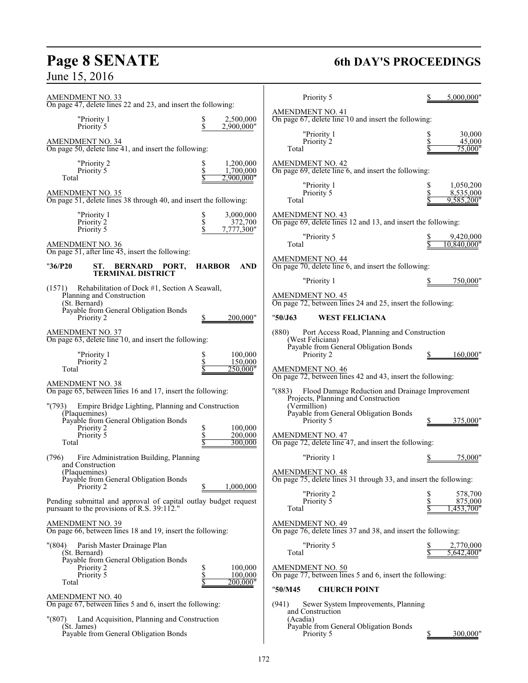# **Page 8 SENATE**<br>June 15, 2016

### **6th DAY'S PROCEEDINGS**

| AMENDMENT NO. 33<br>On page 47, delete lines 22 and 23, and insert the following:                                                                                                                       | Priority 5<br>5.000.000"                                                                                                                                                                                   |
|---------------------------------------------------------------------------------------------------------------------------------------------------------------------------------------------------------|------------------------------------------------------------------------------------------------------------------------------------------------------------------------------------------------------------|
| 2,500,000<br>"Priority 1<br>\$<br>Priority 5<br>\$<br>2,900,000"                                                                                                                                        | <b>AMENDMENT NO. 41</b><br>On page 67, delete line 10 and insert the following:                                                                                                                            |
| <b>AMENDMENT NO. 34</b><br>On page 50, delete line $41$ , and insert the following:                                                                                                                     | 30,000<br>"Priority 1<br>\$<br>Priority 2<br>45,000<br>75.000"<br>Total                                                                                                                                    |
| 1,200,000<br>"Priority 2<br>\$<br>\$<br>Priority 5<br>1,700,000<br>Total<br>2,900,000"                                                                                                                  | <b>AMENDMENT NO. 42</b><br>On page $69$ , delete line $6$ , and insert the following:                                                                                                                      |
| AMENDMENT NO. 35<br>On page 51, delete lines 38 through 40, and insert the following:                                                                                                                   | "Priority 1<br>1,050,200<br>\$<br>Priority 5<br>8,535,000<br>Total<br>9,585,200"                                                                                                                           |
| 3,000,000<br>"Priority 1<br>\$<br>\$<br>\$<br>372,700<br>Priority 2<br>Priority 5<br>7,777,300"                                                                                                         | <b>AMENDMENT NO. 43</b><br>On page 69, delete lines 12 and 13, and insert the following:                                                                                                                   |
| AMENDMENT NO. 36<br>On page 51, after line $\overline{45}$ , insert the following:                                                                                                                      | "Priority 5<br>9,420,000<br>Total<br>10,840,000"                                                                                                                                                           |
| "36/P20<br><b>BERNARD PORT,</b><br><b>HARBOR</b><br><b>AND</b><br>ST.<br><b>TERMINAL DISTRICT</b>                                                                                                       | AMENDMENT NO. 44<br>On page $70$ , delete line $6$ , and insert the following:                                                                                                                             |
| Rehabilitation of Dock #1, Section A Seawall,<br>(1571)<br>Planning and Construction<br>(St. Bernard)<br>Payable from General Obligation Bonds<br>Priority 2<br>200,000"                                | "Priority 1<br>750,000"<br><b>AMENDMENT NO. 45</b><br>On page 72, between lines 24 and 25, insert the following:<br>"50/J63<br><b>WEST FELICIANA</b>                                                       |
| <b>AMENDMENT NO. 37</b><br>On page 63, delete line 10, and insert the following:<br>"Priority 1<br>100,000<br>\$<br>\$<br>Priority 2<br>150,000<br>250,000"<br>Total                                    | Port Access Road, Planning and Construction<br>(880)<br>(West Feliciana)<br>Payable from General Obligation Bonds<br>Priority 2<br>160,000"<br><b>AMENDMENT NO. 46</b>                                     |
| AMENDMENT NO. 38<br>On page 65, between lines 16 and 17, insert the following:                                                                                                                          | On page 72, between lines 42 and 43, insert the following:<br>Flood Damage Reduction and Drainage Improvement<br>" (883)                                                                                   |
| Empire Bridge Lighting, Planning and Construction<br>"(793)<br>(Plaquemines)<br>Payable from General Obligation Bonds<br>\$<br>Priority 2<br>100,000<br>Priority 5<br>\$<br>200,000<br>300,000<br>Total | Projects, Planning and Construction<br>(Vermillion)<br>Payable from General Obligation Bonds<br>Priority 5<br>375,000"<br><b>AMENDMENT NO. 47</b><br>On page 72, delete line 47, and insert the following: |
| Fire Administration Building, Planning<br>(796)<br>and Construction<br>(Plaquemines)<br>Payable from General Obligation Bonds                                                                           | "Priority 1<br>75,000"<br><b>AMENDMENT NO. 48</b><br>On page 75, delete lines 31 through 33, and insert the following:                                                                                     |
| 1.000.000<br>Priority 2<br>Pending submittal and approval of capital outlay budget request<br>pursuant to the provisions of R.S. 39:112."                                                               | "Priority 2<br>578,700<br>s<br>\$<br>Priority 5<br>875,000<br>1,453,700"<br>Total                                                                                                                          |
| AMENDMENT NO. 39<br>On page 66, between lines 18 and 19, insert the following:                                                                                                                          | <b>AMENDMENT NO. 49</b><br>On page 76, delete lines 37 and 38, and insert the following:                                                                                                                   |
| Parish Master Drainage Plan<br>"(804)<br>(St. Bernard)<br>Payable from General Obligation Bonds<br>\$<br>100,000<br>Priority 2<br>\$<br>100,000<br>Priority 5<br>Total<br>S<br>200,000"                 | "Priority 5<br>2,770,000<br>Total<br>5,642,400"<br><b>AMENDMENT NO. 50</b><br>On page 77, between lines 5 and 6, insert the following:                                                                     |
| <u>AMENDMENT NO. 40</u><br>On page 67, between lines 5 and 6, insert the following:                                                                                                                     | "50/M45<br><b>CHURCH POINT</b><br>Sewer System Improvements, Planning<br>(941)                                                                                                                             |
| "(807)<br>Land Acquisition, Planning and Construction<br>(St. James)<br>Payable from General Obligation Bonds                                                                                           | and Construction<br>(Acadia)<br>Payable from General Obligation Bonds<br>Priority 5<br>300,000"<br><u>\$</u>                                                                                               |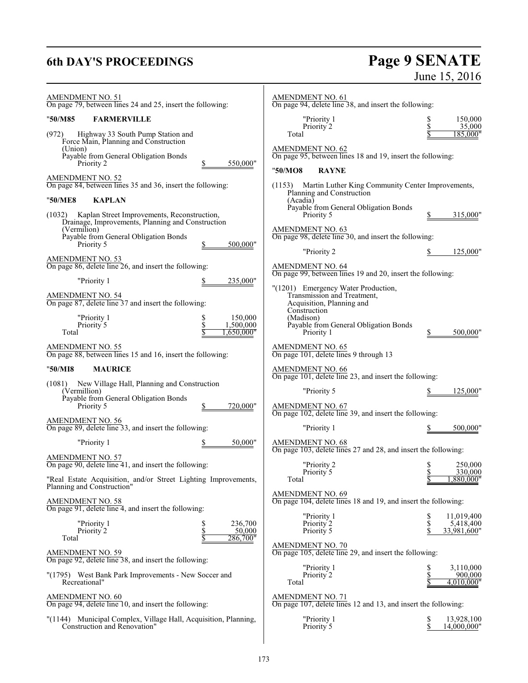### **6th DAY'S PROCEEDINGS**

# Page 9 SENATE<br>June 15, 2016

| <u>AMENDMENT NO. 51</u><br>On page 79, between lines 24 and 25, insert the following:        | <b>AMENDMENT NO. 61</b><br>On page 94, delete line 38, and insert the following:                   |                    |
|----------------------------------------------------------------------------------------------|----------------------------------------------------------------------------------------------------|--------------------|
| "50/M85<br><b>FARMERVILLE</b>                                                                | "Priority 1<br>\$                                                                                  | 150,000            |
| (972)<br>Highway 33 South Pump Station and                                                   | Priority 2<br>Total                                                                                | 35,000<br>185,000" |
| Force Main, Planning and Construction<br>(Union)                                             | <b>AMENDMENT NO. 62</b>                                                                            |                    |
| Payable from General Obligation Bonds<br>Priority 2<br>550,000"                              | On page 95, between lines 18 and 19, insert the following:                                         |                    |
| <b>AMENDMENT NO. 52</b>                                                                      | "50/MO8<br><b>RAYNE</b>                                                                            |                    |
| On page 84, between lines 35 and 36, insert the following:                                   | Martin Luther King Community Center Improvements,<br>(1153)<br>Planning and Construction           |                    |
| <b>KAPLAN</b><br>"50/ME8                                                                     | (Acadia)                                                                                           |                    |
| Kaplan Street Improvements, Reconstruction,<br>(1032)                                        | Payable from General Obligation Bonds<br>Priority 5<br>315,000"                                    |                    |
| Drainage, Improvements, Planning and Construction<br>(Vermilion)                             | <b>AMENDMENT NO. 63</b>                                                                            |                    |
| Payable from General Obligation Bonds<br>500,000"<br>Priority 5                              | On page 98, delete line 30, and insert the following:                                              |                    |
| <b>AMENDMENT NO. 53</b>                                                                      | "Priority 2<br>125,000"<br>S                                                                       |                    |
| On page 86, delete line 26, and insert the following:                                        | AMENDMENT NO. 64<br>On page 99, between lines 19 and 20, insert the following:                     |                    |
| "Priority 1<br>235,000"                                                                      | "(1201) Emergency Water Production,                                                                |                    |
| <b>AMENDMENT NO. 54</b><br>On page 87, delete line 37 and insert the following:              | Transmission and Treatment,                                                                        |                    |
|                                                                                              | Acquisition, Planning and<br>Construction                                                          |                    |
| 150,000<br>"Priority 1<br>\$<br>\$<br>Priority 5<br>1,500,000                                | (Madison)<br>Payable from General Obligation Bonds                                                 |                    |
| Total<br>!,650,000                                                                           | Priority 1<br>500,000"                                                                             |                    |
| AMENDMENT NO. 55<br>On page 88, between lines 15 and 16, insert the following:               | <b>AMENDMENT NO. 65</b><br>On page 101, delete lines 9 through 13                                  |                    |
| "50/MI8<br><b>MAURICE</b>                                                                    | AMENDMENT NO. 66<br>On page 101, delete line 23, and insert the following:                         |                    |
| New Village Hall, Planning and Construction<br>(1081)<br>(Vermillion)                        | 125,000"                                                                                           |                    |
| Payable from General Obligation Bonds                                                        | "Priority 5                                                                                        |                    |
| Priority 5<br>720,000"                                                                       | $\frac{\text{AMENDMENT NO. } 67}{\text{On page } 102}$ , delete line 39, and insert the following: |                    |
| AMENDMENT NO. 56<br>On page 89, delete line 33, and insert the following:                    | "Priority 1<br>500,000"                                                                            |                    |
| "Priority 1<br>50,000"                                                                       | <b>AMENDMENT NO. 68</b><br>On page 103, delete lines 27 and 28, and insert the following:          |                    |
| <b>AMENDMENT NO. 57</b><br>On page 90, delete line 41, and insert the following:             | "Priority 2<br>\$                                                                                  | 250,000            |
|                                                                                              | \$<br>Priority 5<br>,880,000"                                                                      | 330,000            |
| "Real Estate Acquisition, and/or Street Lighting Improvements,<br>Planning and Construction" | Total                                                                                              |                    |
| <b>AMENDMENT NO. 58</b><br>On page 91, delete line 4, and insert the following:              | <b>AMENDMENT NO. 69</b><br>On page 104, delete lines 18 and 19, and insert the following:          |                    |
| "Priority 1<br>\$<br>236,700                                                                 | "Priority 1<br>\$<br>11,019,400<br>\$<br>Priority 2<br>5,418,400                                   |                    |
| \$<br>Priority 2<br>50,000                                                                   | Priority 5<br>33,981,600"                                                                          |                    |
| 286,700"<br>Total                                                                            | <b>AMENDMENT NO. 70</b>                                                                            |                    |
| <b>AMENDMENT NO. 59</b><br>On page 92, delete line 38, and insert the following:             | On page 105, delete line 29, and insert the following:                                             |                    |
| "(1795) West Bank Park Improvements - New Soccer and                                         | "Priority 1<br>3,110,000<br>\$<br>Priority 2<br>\$                                                 | 900,000            |
| Recreational"                                                                                | 4,010,000"<br>Total                                                                                |                    |
| AMENDMENT NO. $60$<br>On page 94, delete line 10, and insert the following:                  | AMENDMENT NO. 71<br>On page 107, delete lines 12 and 13, and insert the following:                 |                    |
| "(1144) Municipal Complex, Village Hall, Acquisition, Planning,                              | "Priority 1<br>13,928,100<br>\$                                                                    |                    |
| Construction and Renovation"                                                                 | \$<br>14,000,000"<br>Priority 5                                                                    |                    |
|                                                                                              |                                                                                                    |                    |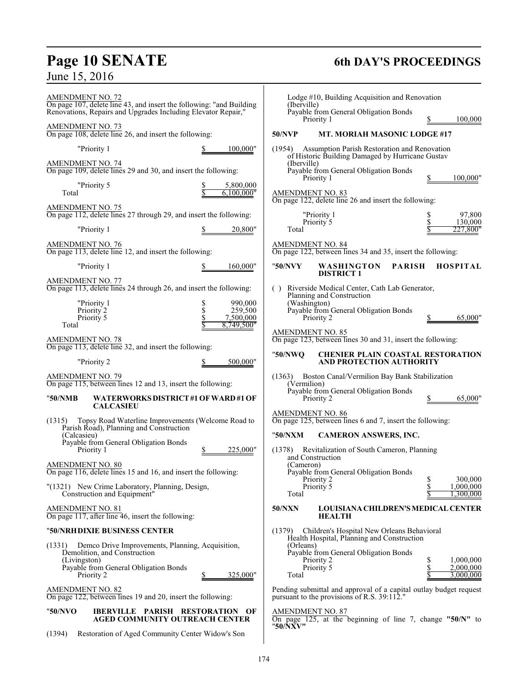# **Page 10 SENATE 6th DAY'S PROCEEDINGS**

June 15, 2016

| <b>AMENDMENT NO. 72</b><br>On page 107, delete line 43, and insert the following: "and Building<br>Renovations, Repairs and Upgrades Including Elevator Repair," |                         | (Iberville)     | Lodge #10, Building Acquisition and Renovation<br>Payable from General Obligation Bonds                          |    |                        |
|------------------------------------------------------------------------------------------------------------------------------------------------------------------|-------------------------|-----------------|------------------------------------------------------------------------------------------------------------------|----|------------------------|
| <b>AMENDMENT NO. 73</b><br>On page 108, delete line 26, and insert the following:                                                                                |                         | <b>50/NVP</b>   | Priority 1<br>MT. MORIAH MASONIC LODGE #17                                                                       |    | 100,000                |
| "Priority 1                                                                                                                                                      | 100,000"                | (1954)          | Assumption Parish Restoration and Renovation                                                                     |    |                        |
| <b>AMENDMENT NO. 74</b>                                                                                                                                          |                         | (Iberville)     | of Historic Building Damaged by Hurricane Gustav                                                                 |    |                        |
| On page 109, delete lines 29 and 30, and insert the following:                                                                                                   |                         |                 | Payable from General Obligation Bonds<br>Priority 1                                                              |    | 100,000"               |
| "Priority 5<br>Total                                                                                                                                             | 5,800,000<br>6.100.000" |                 | <b>AMENDMENT NO. 83</b>                                                                                          |    |                        |
| <b>AMENDMENT NO. 75</b><br>On page 112, delete lines 27 through 29, and insert the following:                                                                    |                         |                 | On page 122, delete line 26 and insert the following:<br>"Priority 1                                             |    | 97,800                 |
| "Priority 1                                                                                                                                                      | 20,800"                 | Total           | Priority 5                                                                                                       | \$ | 130,000<br>227,800"    |
| <b>AMENDMENT NO. 76</b>                                                                                                                                          |                         |                 | <b>AMENDMENT NO. 84</b>                                                                                          |    |                        |
| On page 113, delete line 12, and insert the following:                                                                                                           |                         |                 | On page 122, between lines 34 and 35, insert the following:                                                      |    |                        |
| "Priority 1<br><b>AMENDMENT NO. 77</b>                                                                                                                           | 160,000"                | "50/NVY         | <b>WASHINGTON</b><br><b>PARISH</b><br><b>DISTRICT 1</b>                                                          |    | <b>HOSPITAL</b>        |
| On page 113, delete lines 24 through 26, and insert the following:                                                                                               |                         | ( )             | Riverside Medical Center, Cath Lab Generator,<br>Planning and Construction                                       |    |                        |
| "Priority 1<br>\$<br>Priority <sub>2</sub>                                                                                                                       | 990,000<br>259,500      | (Washington)    | Payable from General Obligation Bonds                                                                            |    |                        |
| \$<br>\$<br>Priority 5<br>Total                                                                                                                                  | 7,500,000<br>8,749,500" |                 | Priority 2                                                                                                       |    | 65,000"                |
| AMENDMENT NO. 78<br>On page 113, delete line 32, and insert the following:                                                                                       |                         |                 | <b>AMENDMENT NO. 85</b><br>On page 123, between lines 30 and 31, insert the following:                           |    |                        |
| "Priority 2                                                                                                                                                      | 500,000"                | "50/NWQ         | <b>CHENIER PLAIN COASTAL RESTORATION</b><br>AND PROTECTION AUTHORITY                                             |    |                        |
| <b>AMENDMENT NO. 79</b>                                                                                                                                          |                         |                 | (1363) Boston Canal/Vermilion Bay Bank Stabilization                                                             |    |                        |
| On page 115, between lines 12 and 13, insert the following:                                                                                                      |                         | (Vermilion)     | Payable from General Obligation Bonds                                                                            |    |                        |
| "50/NMB<br>WATERWORKS DISTRICT#1 OF WARD#1 OF<br><b>CALCASIEU</b>                                                                                                |                         |                 | Priority 2                                                                                                       |    | 65,000"                |
| Topsy Road Waterline Improvements (Welcome Road to<br>(1315)<br>Parish Road), Planning and Construction                                                          |                         |                 | <b>AMENDMENT NO. 86</b><br>On page 125, between lines 6 and 7, insert the following:                             |    |                        |
| (Calcasieu)<br>Payable from General Obligation Bonds                                                                                                             |                         | "50/NXM         | <b>CAMERON ANSWERS, INC.</b>                                                                                     |    |                        |
| Priority 1                                                                                                                                                       | 225,000"                |                 | (1378) Revitalization of South Cameron, Planning<br>and Construction                                             |    |                        |
| <b>AMENDMENT NO. 80</b><br>On page 116, delete lines 15 and 16, and insert the following:                                                                        |                         | (Cameron)       | Payable from General Obligation Bonds                                                                            |    |                        |
| "(1321) New Crime Laboratory, Planning, Design,                                                                                                                  |                         |                 | Priority 2<br>Priority 5                                                                                         | \$ | 300,000<br>1,000,000   |
| Construction and Equipment"                                                                                                                                      |                         | Total<br>50/NXN | <b>LOUISIANA CHILDREN'S MEDICAL CENTER</b>                                                                       |    | .300.000               |
| AMENDMENT NO. 81<br>On page 117, after line 46, insert the following:                                                                                            |                         |                 | <b>HEALTH</b>                                                                                                    |    |                        |
| "50/NRHDIXIE BUSINESS CENTER                                                                                                                                     |                         | (1379)          | Children's Hospital New Orleans Behavioral<br>Health Hospital, Planning and Construction                         |    |                        |
| Demco Drive Improvements, Planning, Acquisition,<br>(1331)<br>Demolition, and Construction                                                                       |                         | (Orleans)       | Payable from General Obligation Bonds                                                                            |    |                        |
| (Livingston)<br>Payable from General Obligation Bonds                                                                                                            |                         |                 | Priority 2<br>Priority 5                                                                                         | S  | 1.000.000<br>2,000,000 |
| Priority 2                                                                                                                                                       | 325,000"                | Total           |                                                                                                                  |    | 3,000,000              |
| <b>AMENDMENT NO. 82</b><br>On page 122, between lines 19 and 20, insert the following:                                                                           |                         |                 | Pending submittal and approval of a capital outlay budget request<br>pursuant to the provisions of R.S. 39:112." |    |                        |
| IBERVILLE PARISH RESTORATION OF<br>"50/NVO<br>AGED COMMUNITY OUTREACH CENTER                                                                                     |                         |                 | <b>AMENDMENT NO. 87</b><br>On page 125, at the beginning of line 7, change " $50/N$ " to                         |    |                        |
| Restoration of Aged Community Center Widow's Son<br>(1394)                                                                                                       |                         | "50/NXV"        |                                                                                                                  |    |                        |
|                                                                                                                                                                  |                         |                 |                                                                                                                  |    |                        |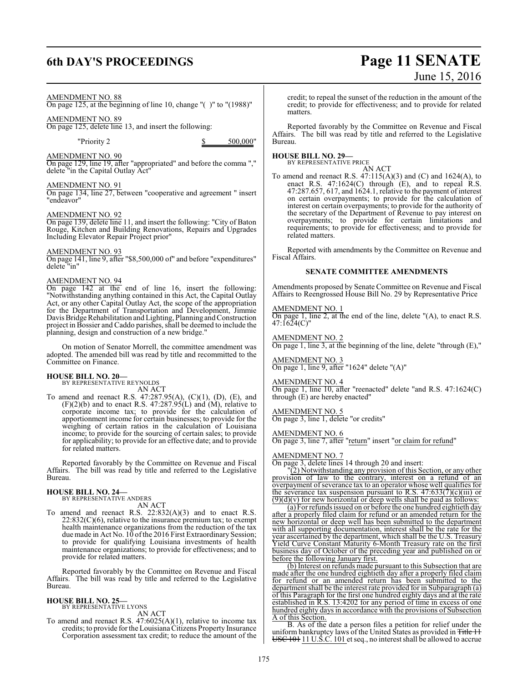### **6th DAY'S PROCEEDINGS Page 11 SENATE**

# June 15, 2016

### AMENDMENT NO. 88

On page 125, at the beginning of line 10, change "( )" to "(1988)"

### AMENDMENT NO. 89

On page 125, delete line 13, and insert the following:

"Priority 2 \$ 500,000"

### AMENDMENT NO. 90

On page 129, line 19, after "appropriated" and before the comma "," delete "in the Capital Outlay Act"

### AMENDMENT NO. 91

On page 134, line 27, between "cooperative and agreement " insert "endeavor"

### AMENDMENT NO. 92

On page 139, delete line 11, and insert the following: "City of Baton Rouge, Kitchen and Building Renovations, Repairs and Upgrades Including Elevator Repair Project prior"

### AMENDMENT NO. 93

On page 141, line 9, after "\$8,500,000 of" and before "expenditures" delete "in"

### AMENDMENT NO. 94

On page 142 at the end of line 16, insert the following: "Notwithstanding anything contained in this Act, the Capital Outlay Act, or any other Capital Outlay Act, the scope of the appropriation for the Department of Transportation and Development, Jimmie Davis Bridge Rehabilitation and Lighting, Planning and Construction project in Bossier and Caddo parishes, shall be deemed to include the planning, design and construction of a new bridge."

On motion of Senator Morrell, the committee amendment was adopted. The amended bill was read by title and recommitted to the Committee on Finance.

## **HOUSE BILL NO. 20—** BY REPRESENTATIVE REYNOLDS

AN ACT

To amend and reenact R.S. 47:287.95(A), (C)(1), (D), (E), and  $(F)(2)(b)$  and to enact R.S. 47:287.95(L) and  $(M)$ , relative to corporate income tax; to provide for the calculation of apportionment income for certain businesses; to provide for the weighing of certain ratios in the calculation of Louisiana income; to provide for the sourcing of certain sales; to provide for applicability; to provide for an effective date; and to provide for related matters.

Reported favorably by the Committee on Revenue and Fiscal Affairs. The bill was read by title and referred to the Legislative Bureau.

#### **HOUSE BILL NO. 24—** BY REPRESENTATIVE ANDERS

AN ACT

To amend and reenact R.S.  $22:832(A)(3)$  and to enact R.S.  $22:832(C)(6)$ , relative to the insurance premium tax; to exempt health maintenance organizations from the reduction of the tax due made in Act No. 10 of the 2016 First Extraordinary Session; to provide for qualifying Louisiana investments of health maintenance organizations; to provide for effectiveness; and to provide for related matters.

Reported favorably by the Committee on Revenue and Fiscal Affairs. The bill was read by title and referred to the Legislative Bureau.

#### **HOUSE BILL NO. 25—** BY REPRESENTATIVE LYONS

AN ACT

To amend and reenact R.S. 47:6025(A)(1), relative to income tax credits; to provide for the Louisiana Citizens Property Insurance Corporation assessment tax credit; to reduce the amount of the

credit; to repeal the sunset of the reduction in the amount of the credit; to provide for effectiveness; and to provide for related matters.

Reported favorably by the Committee on Revenue and Fiscal Affairs. The bill was read by title and referred to the Legislative Bureau.

**HOUSE BILL NO. 29—** BY REPRESENTATIVE PRICE

AN ACT

To amend and reenact R.S.  $47:115(A)(3)$  and (C) and 1624(A), to enact R.S. 47:1624(C) through (E), and to repeal R.S. 47:287.657, 617, and 1624.1, relative to the payment of interest on certain overpayments; to provide for the calculation of interest on certain overpayments; to provide for the authority of the secretary of the Department of Revenue to pay interest on overpayments; to provide for certain limitations and requirements; to provide for effectiveness; and to provide for related matters.

Reported with amendments by the Committee on Revenue and Fiscal Affairs.

### **SENATE COMMITTEE AMENDMENTS**

Amendments proposed by Senate Committee on Revenue and Fiscal Affairs to Reengrossed House Bill No. 29 by Representative Price

### AMENDMENT NO. 1

On page 1, line 2, at the end of the line, delete "(A), to enact R.S. 47:1624(C)"

AMENDMENT NO. 2 On page 1, line 3, at the beginning of the line, delete "through (E),"

AMENDMENT NO. 3 On page 1, line 9, after "1624" delete "(A)"

#### AMENDMENT NO. 4 On page 1, line 10, after "reenacted" delete "and R.S. 47:1624(C) through (E) are hereby enacted"

AMENDMENT NO. 5 On page 3, line 1, delete "or credits"

AMENDMENT NO. 6 On page 3, line 7, after "return" insert "or claim for refund"

### AMENDMENT NO. 7

On page 3, delete lines 14 through 20 and insert:

"(2) Notwithstanding any provision of this Section, or any other provision of law to the contrary, interest on a refund of an overpayment of severance tax to an operator whose well qualifies for the severance tax suspension pursuant to R.S.  $47:633(7)(c)(iii)$  or  $(9)(d)(v)$  for new horizontal or deep wells shall be paid as follows:

(a) For refunds issued on or before the one hundred eightieth day after a properly filed claim for refund or an amended return for the new horizontal or deep well has been submitted to the department with all supporting documentation, interest shall be the rate for the year ascertained by the department, which shall be the U.S. Treasury Yield Curve Constant Maturity 6-Month Treasury rate on the first business day of October of the preceding year and published on or before the following January first.

(b) Interest on refunds made pursuant to this Subsection that are made after the one hundred eightieth day after a properly filed claim for refund or an amended return has been submitted to the department shall be the interest rate provided for in Subparagraph (a) of this Paragraph for the first one hundred eighty days and at the rate established in R.S. 13:4202 for any period of time in excess of one hundred eighty days in accordance with the provisions of Subsection A of this Section.

B. As of the date a person files a petition for relief under the uniform bankruptcy laws of the United States as provided in <del>Title 11</del> USC 101 11 U.S.C. 101 et seq., no interest shall be allowed to accrue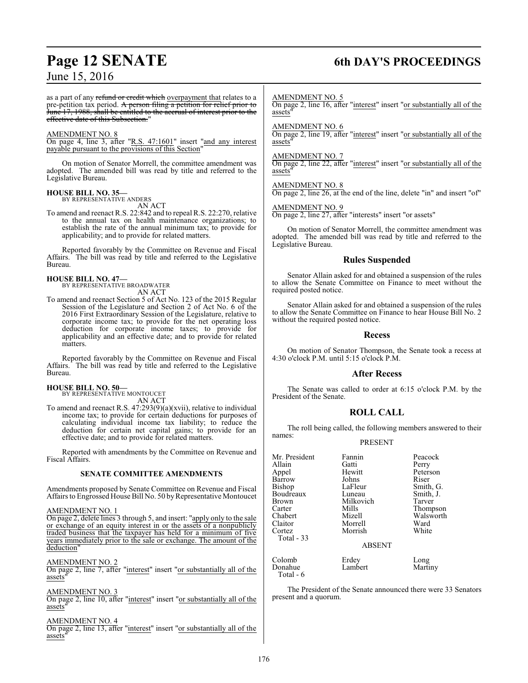## **Page 12 SENATE 6th DAY'S PROCEEDINGS**

as a part of any refund or credit which overpayment that relates to a pre-petition tax period. A person filing a petition for relief prior to June 17, 1988, shall be entitled to the accrual of interest prior to the effective date of this Subsection."

### AMENDMENT NO. 8

On page 4, line 3, after "R.S. 47:1601" insert "and any interest payable pursuant to the provisions of this Section"

On motion of Senator Morrell, the committee amendment was adopted. The amended bill was read by title and referred to the Legislative Bureau.

#### **HOUSE BILL NO. 35—** BY REPRESENTATIVE ANDERS

AN ACT

To amend and reenact R.S. 22:842 and to repeal R.S. 22:270, relative to the annual tax on health maintenance organizations; to establish the rate of the annual minimum tax; to provide for applicability; and to provide for related matters.

Reported favorably by the Committee on Revenue and Fiscal Affairs. The bill was read by title and referred to the Legislative Bureau.

### **HOUSE BILL NO. 47—**

BY REPRESENTATIVE BROADWATER AN ACT

To amend and reenact Section 5 of Act No. 123 of the 2015 Regular Session of the Legislature and Section 2 of Act No. 6 of the 2016 First Extraordinary Session of the Legislature, relative to corporate income tax; to provide for the net operating loss deduction for corporate income taxes; to provide for applicability and an effective date; and to provide for related matters.

Reported favorably by the Committee on Revenue and Fiscal Affairs. The bill was read by title and referred to the Legislative Bureau.

### **HOUSE BILL NO. 50—**

BY REPRESENTATIVE MONTOUCET AN ACT

To amend and reenact R.S. 47:293(9)(a)(xvii), relative to individual income tax; to provide for certain deductions for purposes of calculating individual income tax liability; to reduce the deduction for certain net capital gains; to provide for an effective date; and to provide for related matters.

Reported with amendments by the Committee on Revenue and Fiscal Affairs.

### **SENATE COMMITTEE AMENDMENTS**

Amendments proposed by Senate Committee on Revenue and Fiscal Affairs to Engrossed House Bill No. 50 by Representative Montoucet

### AMENDMENT NO. 1

On page 2, delete lines 3 through 5, and insert: "apply only to the sale or exchange of an equity interest in or the assets of a nonpublicly traded business that the taxpayer has held for a minimum of five years immediately prior to the sale or exchange. The amount of the deduction"

### AMENDMENT NO. 2

On page 2, line 7, after "interest" insert "or substantially all of the assets"

### AMENDMENT NO. 3

On page 2, line 10, after "interest" insert "or substantially all of the assets"

### AMENDMENT NO. 4

On page 2, line 13, after "interest" insert "or substantially all of the assets"

#### AMENDMENT NO. 5

On page 2, line 16, after "interest" insert "or substantially all of the assets"

AMENDMENT NO. 6

On page 2, line 19, after "interest" insert "or substantially all of the assets"

### AMENDMENT NO. 7

On page 2, line 22, after "interest" insert "or substantially all of the assets"

### AMENDMENT NO. 8

On page 2, line 26, at the end of the line, delete "in" and insert "of"

### AMENDMENT NO. 9

On page 2, line 27, after "interests" insert "or assets"

On motion of Senator Morrell, the committee amendment was adopted. The amended bill was read by title and referred to the Legislative Bureau.

### **Rules Suspended**

Senator Allain asked for and obtained a suspension of the rules to allow the Senate Committee on Finance to meet without the required posted notice.

Senator Allain asked for and obtained a suspension of the rules to allow the Senate Committee on Finance to hear House Bill No. 2 without the required posted notice.

### **Recess**

On motion of Senator Thompson, the Senate took a recess at 4:30 o'clock P.M. until 5:15 o'clock P.M.

### **After Recess**

The Senate was called to order at 6:15 o'clock P.M. by the President of the Senate.

### **ROLL CALL**

The roll being called, the following members answered to their names:

### PRESENT

| Mr. President                   | Fannin                              | Peacock       |
|---------------------------------|-------------------------------------|---------------|
| Allain                          | Gatti                               | Perry         |
| Appel                           | Hewitt                              | Peterson      |
| Barrow                          | Johns                               | Riser         |
| Bishop                          | LaFleur                             | Smith, G.     |
| Boudreaux                       | Luneau                              | Smith, J.     |
| Brown                           | Milkovich                           | Tarver        |
| Carter                          | Mills                               | Thompson      |
| Chabert                         | Mizell                              | Walsworth     |
| Claitor<br>Cortez<br>Total - 33 | Morrell<br>Morrish<br><b>ABSENT</b> | Ward<br>White |
| Colomb                          | Erdey                               | Long          |
| Donahue                         | Lambert                             | Martiny       |

Total - 6

The President of the Senate announced there were 33 Senators present and a quorum.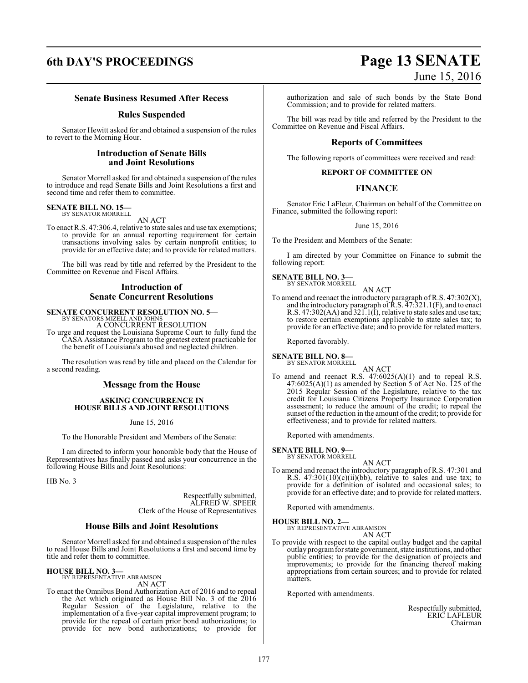## **6th DAY'S PROCEEDINGS Page 13 SENATE** June 15, 2016

### **Senate Business Resumed After Recess**

### **Rules Suspended**

Senator Hewitt asked for and obtained a suspension of the rules to revert to the Morning Hour.

### **Introduction of Senate Bills and Joint Resolutions**

Senator Morrell asked for and obtained a suspension of the rules to introduce and read Senate Bills and Joint Resolutions a first and second time and refer them to committee.

#### **SENATE BILL NO. 15—** BY SENATOR MORRELL

AN ACT

To enact R.S. 47:306.4, relative to state sales and use tax exemptions; to provide for an annual reporting requirement for certain transactions involving sales by certain nonprofit entities; to provide for an effective date; and to provide for related matters.

The bill was read by title and referred by the President to the Committee on Revenue and Fiscal Affairs.

### **Introduction of Senate Concurrent Resolutions**

## **SENATE CONCURRENT RESOLUTION NO. 5—** BY SENATORS MIZELL AND JOHNS

A CONCURRENT RESOLUTION

To urge and request the Louisiana Supreme Court to fully fund the CASA Assistance Program to the greatest extent practicable for the benefit of Louisiana's abused and neglected children.

The resolution was read by title and placed on the Calendar for a second reading.

### **Message from the House**

### **ASKING CONCURRENCE IN HOUSE BILLS AND JOINT RESOLUTIONS**

June 15, 2016

To the Honorable President and Members of the Senate:

I am directed to inform your honorable body that the House of Representatives has finally passed and asks your concurrence in the following House Bills and Joint Resolutions:

HB No. 3

Respectfully submitted, ALFRED W. SPEER Clerk of the House of Representatives

### **House Bills and Joint Resolutions**

Senator Morrell asked for and obtained a suspension of the rules to read House Bills and Joint Resolutions a first and second time by title and refer them to committee.

### **HOUSE BILL NO. 3—**

BY REPRESENTATIVE ABRAMSON AN ACT

To enact the Omnibus Bond Authorization Act of 2016 and to repeal the Act which originated as House Bill No. 3 of the 2016 Regular Session of the Legislature, relative to the implementation of a five-year capital improvement program; to provide for the repeal of certain prior bond authorizations; to provide for new bond authorizations; to provide for

authorization and sale of such bonds by the State Bond Commission; and to provide for related matters.

The bill was read by title and referred by the President to the Committee on Revenue and Fiscal Affairs.

### **Reports of Committees**

The following reports of committees were received and read:

### **REPORT OF COMMITTEE ON**

### **FINANCE**

Senator Eric LaFleur, Chairman on behalf of the Committee on Finance, submitted the following report:

### June 15, 2016

To the President and Members of the Senate:

I am directed by your Committee on Finance to submit the following report:

#### **SENATE BILL NO. 3—** BY SENATOR MORRELL

AN ACT

To amend and reenact the introductory paragraph of R.S. 47:302(X), and the introductory paragraph of  $\bar{R}$ .S.  $\bar{4}7$ :321.1(F), and to enact R.S. 47:302(AA) and 321.1(I), relative to state sales and use tax; to restore certain exemptions applicable to state sales tax; to provide for an effective date; and to provide for related matters.

Reported favorably.

### **SENATE BILL NO. 8—**<br>BY SENATOR MORRELL

BY SENATOR MORRELL AN ACT

To amend and reenact R.S. 47:6025(A)(1) and to repeal R.S.  $47:6025(A)(1)$  as amended by Section 5 of Act No. 125 of the 2015 Regular Session of the Legislature, relative to the tax credit for Louisiana Citizens Property Insurance Corporation assessment; to reduce the amount of the credit; to repeal the sunset of the reduction in the amount of the credit; to provide for effectiveness; and to provide for related matters.

Reported with amendments.

#### **SENATE BILL NO. 9—** BY SENATOR MORRELL

AN ACT To amend and reenact the introductory paragraph of R.S. 47:301 and R.S. 47:301(10)(c)(ii)(bb), relative to sales and use tax; to provide for a definition of isolated and occasional sales; to provide for an effective date; and to provide for related matters.

Reported with amendments.

### **HOUSE BILL NO. 2—**

BY REPRESENTATIVE ABRAMSON AN ACT

To provide with respect to the capital outlay budget and the capital outlay programfor state government, state institutions, and other public entities; to provide for the designation of projects and improvements; to provide for the financing thereof making appropriations from certain sources; and to provide for related matters.

Reported with amendments.

Respectfully submitted, ERIC LAFLEUR Chairman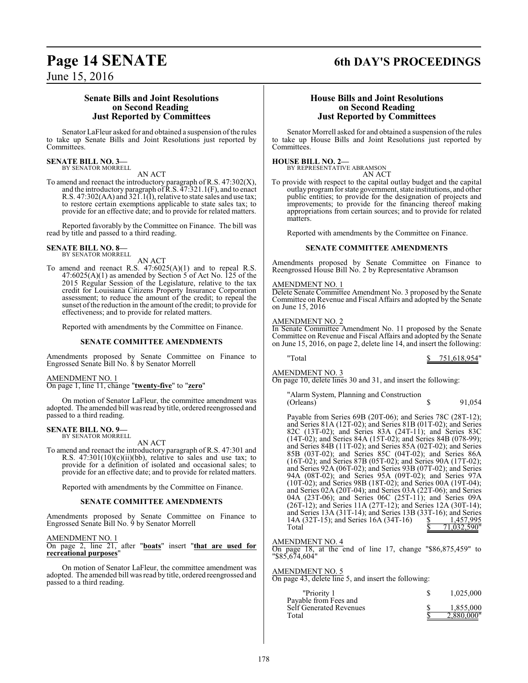### **Page 14 SENATE 6th DAY'S PROCEEDINGS**

June 15, 2016

### **Senate Bills and Joint Resolutions on Second Reading Just Reported by Committees**

Senator LaFleur asked for and obtained a suspension of the rules to take up Senate Bills and Joint Resolutions just reported by Committees.

#### **SENATE BILL NO. 3—** BY SENATOR MORRELL

AN ACT

To amend and reenact the introductory paragraph of R.S. 47:302(X), and the introductory paragraph of  $\bar{R}$ .S.  $\bar{4}$ 7:321.1(F), and to enact R.S. 47:302(AA) and 321.1(I), relative to state sales and use tax; to restore certain exemptions applicable to state sales tax; to provide for an effective date; and to provide for related matters.

Reported favorably by the Committee on Finance. The bill was read by title and passed to a third reading.

#### **SENATE BILL NO. 8—** BY SENATOR MORRELL

### AN ACT

To amend and reenact R.S. 47:6025(A)(1) and to repeal R.S.  $47:6025(A)(1)$  as amended by Section 5 of Act No. 125 of the 2015 Regular Session of the Legislature, relative to the tax credit for Louisiana Citizens Property Insurance Corporation assessment; to reduce the amount of the credit; to repeal the sunset of the reduction in the amount of the credit; to provide for effectiveness; and to provide for related matters.

Reported with amendments by the Committee on Finance.

### **SENATE COMMITTEE AMENDMENTS**

Amendments proposed by Senate Committee on Finance to Engrossed Senate Bill No. 8 by Senator Morrell

### AMENDMENT NO. 1

On page 1, line 11, change "**twenty-five**" to "**zero**"

On motion of Senator LaFleur, the committee amendment was adopted. The amended bill was read by title, ordered reengrossed and passed to a third reading.

#### **SENATE BILL NO. 9—** BY SENATOR MORRELL

AN ACT

To amend and reenact the introductory paragraph of R.S. 47:301 and R.S.  $47:301(10)(c)(ii)(bb)$ , relative to sales and use tax; to provide for a definition of isolated and occasional sales; to provide for an effective date; and to provide for related matters.

Reported with amendments by the Committee on Finance.

### **SENATE COMMITTEE AMENDMENTS**

Amendments proposed by Senate Committee on Finance to Engrossed Senate Bill No. 9 by Senator Morrell

### AMENDMENT NO. 1

On page 2, line 21, after "**boats**" insert "**that are used for recreational purposes**"

On motion of Senator LaFleur, the committee amendment was adopted. The amended bill was read by title, ordered reengrossed and passed to a third reading.

### **House Bills and Joint Resolutions on Second Reading Just Reported by Committees**

Senator Morrell asked for and obtained a suspension of the rules to take up House Bills and Joint Resolutions just reported by Committees.

### **HOUSE BILL NO. 2—**

BY REPRESENTATIVE ABRAMSON AN ACT

To provide with respect to the capital outlay budget and the capital outlay programfor state government, state institutions, and other public entities; to provide for the designation of projects and improvements; to provide for the financing thereof making appropriations from certain sources; and to provide for related matters.

Reported with amendments by the Committee on Finance.

### **SENATE COMMITTEE AMENDMENTS**

Amendments proposed by Senate Committee on Finance to Reengrossed House Bill No. 2 by Representative Abramson

### AMENDMENT NO. 1

Delete Senate Committee Amendment No. 3 proposed by the Senate Committee on Revenue and Fiscal Affairs and adopted by the Senate on June 15, 2016

### AMENDMENT NO. 2

In Senate Committee Amendment No. 11 proposed by the Senate Committee on Revenue and Fiscal Affairs and adopted by the Senate on June 15, 2016, on page 2, delete line 14, and insert the following:

"Total \$ 751,618,954"

AMENDMENT NO. 3

On page 10, delete lines 30 and 31, and insert the following:

"Alarm System, Planning and Construction (Orleans)  $\frac{1}{2}$   $\frac{1}{2}$   $\frac{91,054}{2}$ 

Payable from Series 69B (20T-06); and Series 78C (28T-12); and Series 81A (12T-02); and Series 81B (01T-02); and Series 82C (13T-02); and Series 83A (24T-11); and Series 83C (14T-02); and Series 84A (15T-02); and Series 84B (078-99); and Series 84B (11T-02); and Series 85A (02T-02); and Series 85B (03T-02); and Series 85C (04T-02); and Series 86A (16T-02); and Series 87B (05T-02); and Series 90A (17T-02); and Series 92A (06T-02); and Series 93B (07T-02); and Series 94A (08T-02); and Series 95A (09T-02); and Series 97A (10T-02); and Series 98B (18T-02); and Series 00A (19T-04); and Series 02A (20T-04); and Series 03A (22T-06); and Series 04A (23T-06); and Series 06C (25T-11); and Series 09A (26T-12); and Series 11A (27T-12); and Series 12A (30T-14); and Series 13A (31T-14); and Series 13B (33T-16); and Series 14A (32T-15); and Series 16A (34T-16)  $\frac{\$}{\$}$  1,457,995<br>Total  $\frac{1457,995}{\$}$ 71,032,590'

### AMENDMENT NO. 4

On page 18, at the end of line 17, change "\$86,875,459" to "\$85,674,604"

AMENDMENT NO. 5 On page 43, delete line 5, and insert the following:

| "Priority 1<br>Payable from Fees and | 1.025.000               |
|--------------------------------------|-------------------------|
| Self Generated Revenues<br>Total     | 1.855,000<br>2.880,000" |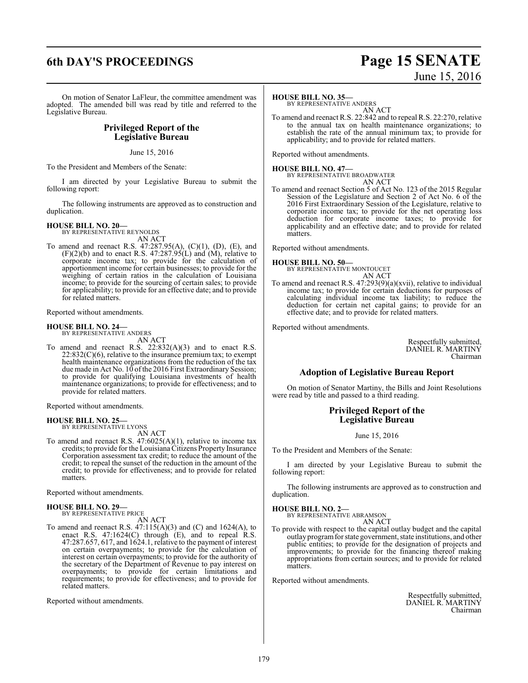### **6th DAY'S PROCEEDINGS Page 15 SENATE** June 15, 2016

On motion of Senator LaFleur, the committee amendment was adopted. The amended bill was read by title and referred to the Legislative Bureau.

### **Privileged Report of the Legislative Bureau**

June 15, 2016

To the President and Members of the Senate:

I am directed by your Legislative Bureau to submit the following report:

The following instruments are approved as to construction and duplication.

### **HOUSE BILL NO. 20—**

BY REPRESENTATIVE REYNOLDS AN ACT

To amend and reenact R.S. 47:287.95(A), (C)(1), (D), (E), and  $(F)(2)(b)$  and to enact R.S. 47:287.95(L) and (M), relative to corporate income tax; to provide for the calculation of apportionment income for certain businesses; to provide for the weighing of certain ratios in the calculation of Louisiana income; to provide for the sourcing of certain sales; to provide for applicability; to provide for an effective date; and to provide for related matters.

Reported without amendments.

### **HOUSE BILL NO. 24—**

BY REPRESENTATIVE ANDERS AN ACT

To amend and reenact R.S. 22:832(A)(3) and to enact R.S.  $22:832(C)(6)$ , relative to the insurance premium tax; to exempt health maintenance organizations from the reduction of the tax due made in Act No. 10 ofthe 2016 First Extraordinary Session; to provide for qualifying Louisiana investments of health maintenance organizations; to provide for effectiveness; and to provide for related matters.

Reported without amendments.

### **HOUSE BILL NO. 25—**

BY REPRESENTATIVE LYONS AN ACT

To amend and reenact R.S. 47:6025(A)(1), relative to income tax credits; to provide for the Louisiana Citizens Property Insurance Corporation assessment tax credit; to reduce the amount of the credit; to repeal the sunset of the reduction in the amount of the credit; to provide for effectiveness; and to provide for related matters.

Reported without amendments.

#### **HOUSE BILL NO. 29—** BY REPRESENTATIVE PRICE

AN ACT

To amend and reenact R.S.  $47:115(A)(3)$  and  $(C)$  and  $1624(A)$ , to enact R.S. 47:1624(C) through (E), and to repeal R.S. 47:287.657, 617, and 1624.1, relative to the payment of interest on certain overpayments; to provide for the calculation of interest on certain overpayments; to provide for the authority of the secretary of the Department of Revenue to pay interest on overpayments; to provide for certain limitations and requirements; to provide for effectiveness; and to provide for related matters.

Reported without amendments.

### **HOUSE BILL NO. 35—**

BY REPRESENTATIVE ANDERS AN ACT

To amend and reenact R.S. 22:842 and to repeal R.S. 22:270, relative to the annual tax on health maintenance organizations; to establish the rate of the annual minimum tax; to provide for applicability; and to provide for related matters.

Reported without amendments.

**HOUSE BILL NO. 47—** BY REPRESENTATIVE BROADWATER AN ACT

To amend and reenact Section 5 of Act No. 123 of the 2015 Regular Session of the Legislature and Section 2 of Act No. 6 of the 2016 First Extraordinary Session of the Legislature, relative to corporate income tax; to provide for the net operating loss deduction for corporate income taxes; to provide for applicability and an effective date; and to provide for related matters.

Reported without amendments.

## **HOUSE BILL NO. 50—** BY REPRESENTATIVE MONTOUCET

AN ACT

To amend and reenact R.S.  $47:293(9)(a)(xvi)$ , relative to individual income tax; to provide for certain deductions for purposes of calculating individual income tax liability; to reduce the deduction for certain net capital gains; to provide for an effective date; and to provide for related matters.

Reported without amendments.

Respectfully submitted, DANIEL R. MARTINY Chairman

### **Adoption of Legislative Bureau Report**

On motion of Senator Martiny, the Bills and Joint Resolutions were read by title and passed to a third reading.

### **Privileged Report of the Legislative Bureau**

June 15, 2016

To the President and Members of the Senate:

I am directed by your Legislative Bureau to submit the following report:

The following instruments are approved as to construction and duplication.

**HOUSE BILL NO. 2—**

BY REPRESENTATIVE ABRAMSON AN ACT

To provide with respect to the capital outlay budget and the capital outlay programfor state government, state institutions, and other public entities; to provide for the designation of projects and improvements; to provide for the financing thereof making appropriations from certain sources; and to provide for related matters.

Reported without amendments.

Respectfully submitted, DANIEL R. MARTINY Chairman